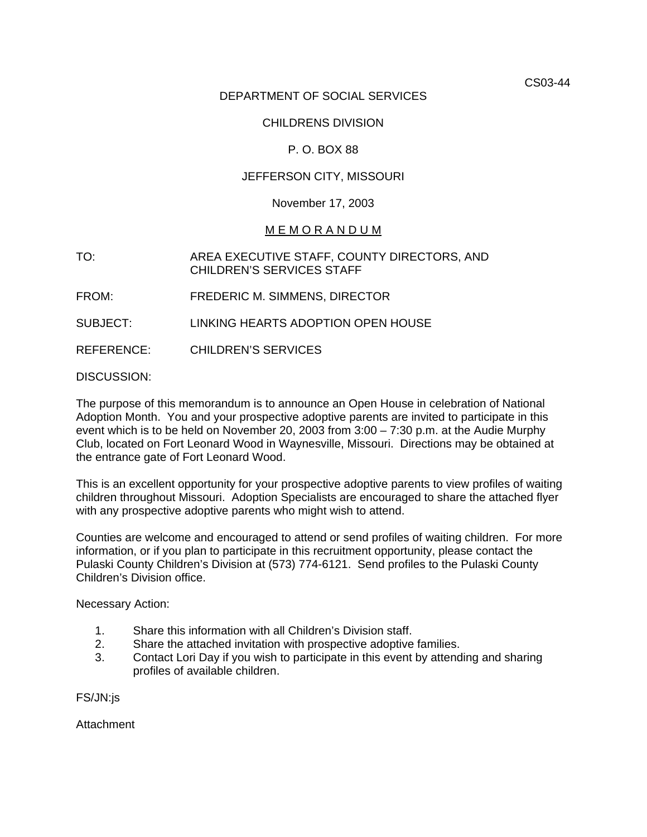CS03-44

# DEPARTMENT OF SOCIAL SERVICES

# CHILDRENS DIVISION

# P. O. BOX 88

# JEFFERSON CITY, MISSOURI

#### November 17, 2003

#### M E M O R A N D U M

- TO: AREA EXECUTIVE STAFF, COUNTY DIRECTORS, AND CHILDREN'S SERVICES STAFF
- FROM: FREDERIC M. SIMMENS, DIRECTOR
- SUBJECT: LINKING HEARTS ADOPTION OPEN HOUSE
- REFERENCE: CHILDREN'S SERVICES

#### DISCUSSION:

The purpose of this memorandum is to announce an Open House in celebration of National Adoption Month. You and your prospective adoptive parents are invited to participate in this event which is to be held on November 20, 2003 from 3:00 – 7:30 p.m. at the Audie Murphy Club, located on Fort Leonard Wood in Waynesville, Missouri. Directions may be obtained at the entrance gate of Fort Leonard Wood.

This is an excellent opportunity for your prospective adoptive parents to view profiles of waiting children throughout Missouri. Adoption Specialists are encouraged to share the attached flyer with any prospective adoptive parents who might wish to attend.

Counties are welcome and encouraged to attend or send profiles of waiting children. For more information, or if you plan to participate in this recruitment opportunity, please contact the Pulaski County Children's Division at (573) 774-6121. Send profiles to the Pulaski County Children's Division office.

Necessary Action:

- 1. Share this information with all Children's Division staff.
- 2. Share the attached invitation with prospective adoptive families.
- 3. Contact Lori Day if you wish to participate in this event by attending and sharing profiles of available children.

FS/JN:js

Attachment